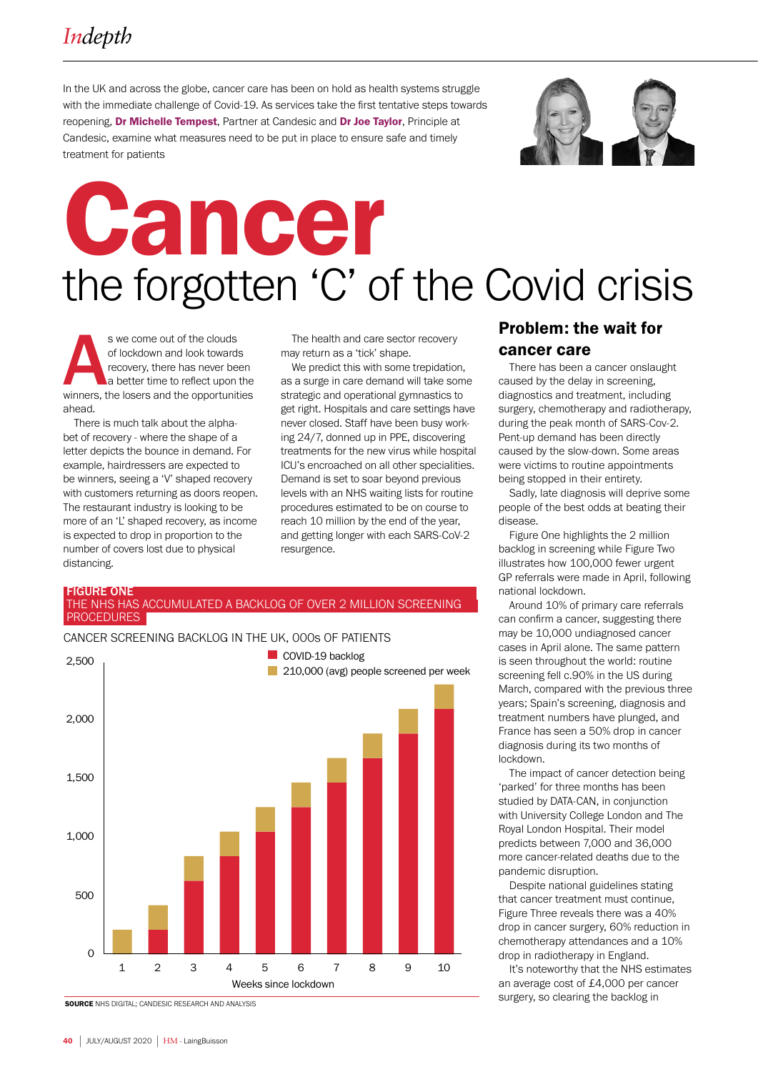In the UK and across the globe, cancer care has been on hold as health systems struggle with the immediate challenge of Covid-19. As services take the first tentative steps towards reopening, Dr Michelle Tempest, Partner at Candesic and Dr Joe Taylor, Principle at Candesic, examine what measures need to be put in place to ensure safe and timely treatment for patients



# Cancer the forgotten 'C' of the Covid crisis

s we come out of the clouds<br>
of lockdown and look towards<br>
a better time to reflect upon the<br>
winners, the losers and the opportunities of lockdown and look towards recovery, there has never been a better time to reflect upon the ahead.

There is much talk about the alphabet of recovery - where the shape of a letter depicts the bounce in demand. For example, hairdressers are expected to be winners, seeing a 'V' shaped recovery with customers returning as doors reopen. The restaurant industry is looking to be more of an 'L' shaped recovery, as income is expected to drop in proportion to the number of covers lost due to physical distancing.

The health and care sector recovery may return as a 'tick' shape.

We predict this with some trepidation, as a surge in care demand will take some strategic and operational gymnastics to get right. Hospitals and care settings have never closed. Staff have been busy working 24/7, donned up in PPE, discovering treatments for the new virus while hospital ICU's encroached on all other specialities. Demand is set to soar beyond previous levels with an NHS waiting lists for routine procedures estimated to be on course to reach 10 million by the end of the year, and getting longer with each SARS-CoV-2 resurgence.

### FIGURE ONE<br>THE NHS HAS ACCUMULATED A BACKLOG OF OVER 2 MILLION SCREENING PROCEDURES



CANCER SCREENING BACKLOG IN THE UK, 000s OF PATIENTS

### Problem: the wait for cancer care

There has been a cancer onslaught caused by the delay in screening, diagnostics and treatment, including surgery, chemotherapy and radiotherapy, during the peak month of SARS-Cov-2. Pent-up demand has been directly caused by the slow-down. Some areas were victims to routine appointments being stopped in their entirety.

Sadly, late diagnosis will deprive some people of the best odds at beating their disease.

Figure One highlights the 2 million backlog in screening while Figure Two illustrates how 100,000 fewer urgent GP referrals were made in April, following national lockdown.

Around 10% of primary care referrals can confirm a cancer, suggesting there may be 10,000 undiagnosed cancer cases in April alone. The same pattern is seen throughout the world: routine screening fell c.90% in the US during March, compared with the previous three years; Spain's screening, diagnosis and treatment numbers have plunged, and France has seen a 50% drop in cancer diagnosis during its two months of lockdown.

The impact of cancer detection being 'parked' for three months has been studied by DATA-CAN, in conjunction with University College London and The Royal London Hospital. Their model predicts between 7,000 and 36,000 more cancer-related deaths due to the pandemic disruption.

Despite national guidelines stating that cancer treatment must continue, Figure Three reveals there was a 40% drop in cancer surgery, 60% reduction in chemotherapy attendances and a 10% drop in radiotherapy in England.

It's noteworthy that the NHS estimates an average cost of £4,000 per cancer surgery, so clearing the backlog in

**SOURCE** NHS DIGITAL: CANDESIC RESEARCH AND ANALYSIS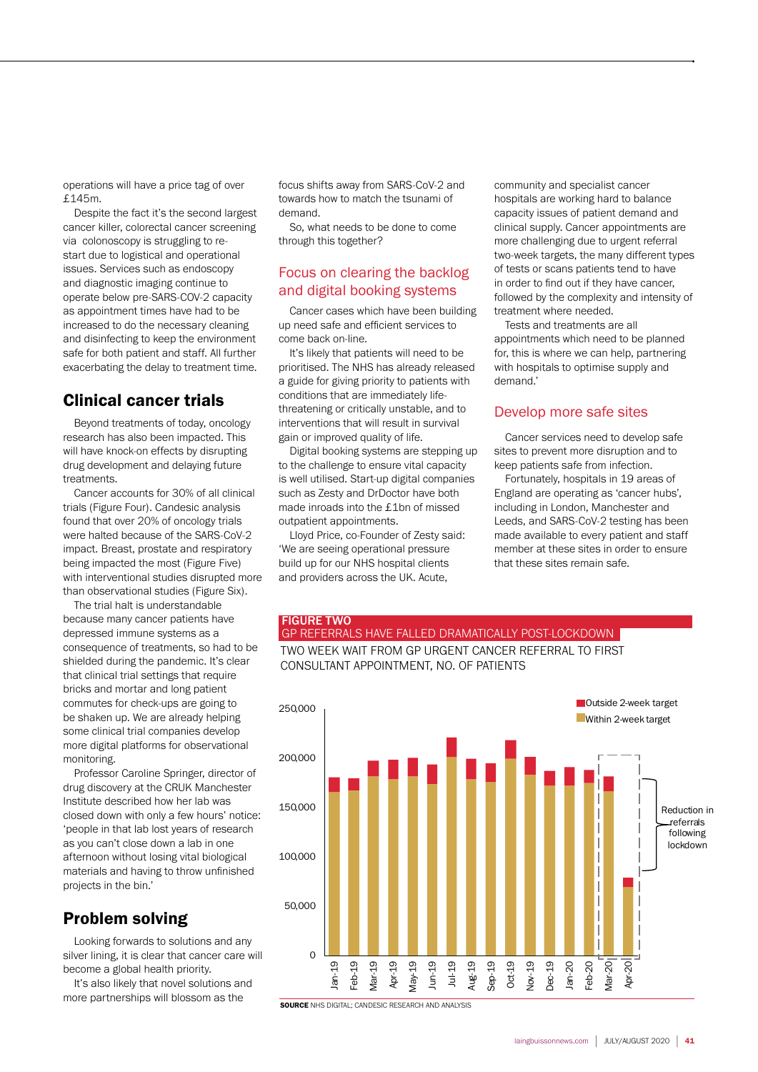operations will have a price tag of over £145m.

Despite the fact it's the second largest cancer killer, colorectal cancer screening via colonoscopy is struggling to restart due to logistical and operational issues. Services such as endoscopy and diagnostic imaging continue to operate below pre-SARS-COV-2 capacity as appointment times have had to be increased to do the necessary cleaning and disinfecting to keep the environment safe for both patient and staff. All further exacerbating the delay to treatment time.

### Clinical cancer trials

Beyond treatments of today, oncology research has also been impacted. This will have knock-on effects by disrupting drug development and delaying future treatments.

Cancer accounts for 30% of all clinical trials (Figure Four). Candesic analysis found that over 20% of oncology trials were halted because of the SARS-CoV-2 impact. Breast, prostate and respiratory being impacted the most (Figure Five) with interventional studies disrupted more than observational studies (Figure Six).

The trial halt is understandable because many cancer patients have depressed immune systems as a consequence of treatments, so had to be shielded during the pandemic. It's clear that clinical trial settings that require bricks and mortar and long patient commutes for check-ups are going to be shaken up. We are already helping some clinical trial companies develop more digital platforms for observational monitoring.

Professor Caroline Springer, director of drug discovery at the CRUK Manchester Institute described how her lab was closed down with only a few hours' notice: 'people in that lab lost years of research as you can't close down a lab in one afternoon without losing vital biological materials and having to throw unfinished projects in the bin.'

### Problem solving

Looking forwards to solutions and any silver lining, it is clear that cancer care will become a global health priority.

It's also likely that novel solutions and more partnerships will blossom as the

focus shifts away from SARS-CoV-2 and towards how to match the tsunami of demand.

So, what needs to be done to come through this together?

### Focus on clearing the backlog and digital booking systems

Cancer cases which have been building up need safe and efficient services to come back on-line.

It's likely that patients will need to be prioritised. The NHS has already released a guide for giving priority to patients with conditions that are immediately lifethreatening or critically unstable, and to interventions that will result in survival gain or improved quality of life.

Digital booking systems are stepping up to the challenge to ensure vital capacity is well utilised. Start-up digital companies such as Zesty and DrDoctor have both made inroads into the £1bn of missed outpatient appointments.

Lloyd Price, co-Founder of Zesty said: 'We are seeing operational pressure build up for our NHS hospital clients and providers across the UK. Acute,

community and specialist cancer hospitals are working hard to balance capacity issues of patient demand and clinical supply. Cancer appointments are more challenging due to urgent referral two-week targets, the many different types of tests or scans patients tend to have in order to find out if they have cancer, followed by the complexity and intensity of treatment where needed.

Tests and treatments are all appointments which need to be planned for, this is where we can help, partnering with hospitals to optimise supply and demand.'

### Develop more safe sites

Cancer services need to develop safe sites to prevent more disruption and to keep patients safe from infection.

Fortunately, hospitals in 19 areas of England are operating as 'cancer hubs', including in London, Manchester and Leeds, and SARS-CoV-2 testing has been made available to every patient and staff member at these sites in order to ensure that these sites remain safe.

### FIGURE TWO GP REFERRALS HAVE FALLED DRAMATICALLY POST-LOCKDOWN TWO WEEK WAIT FROM GP URGENT CANCER REFERRAL TO FIRST

CONSULTANT APPOINTMENT, NO. OF PATIENTS



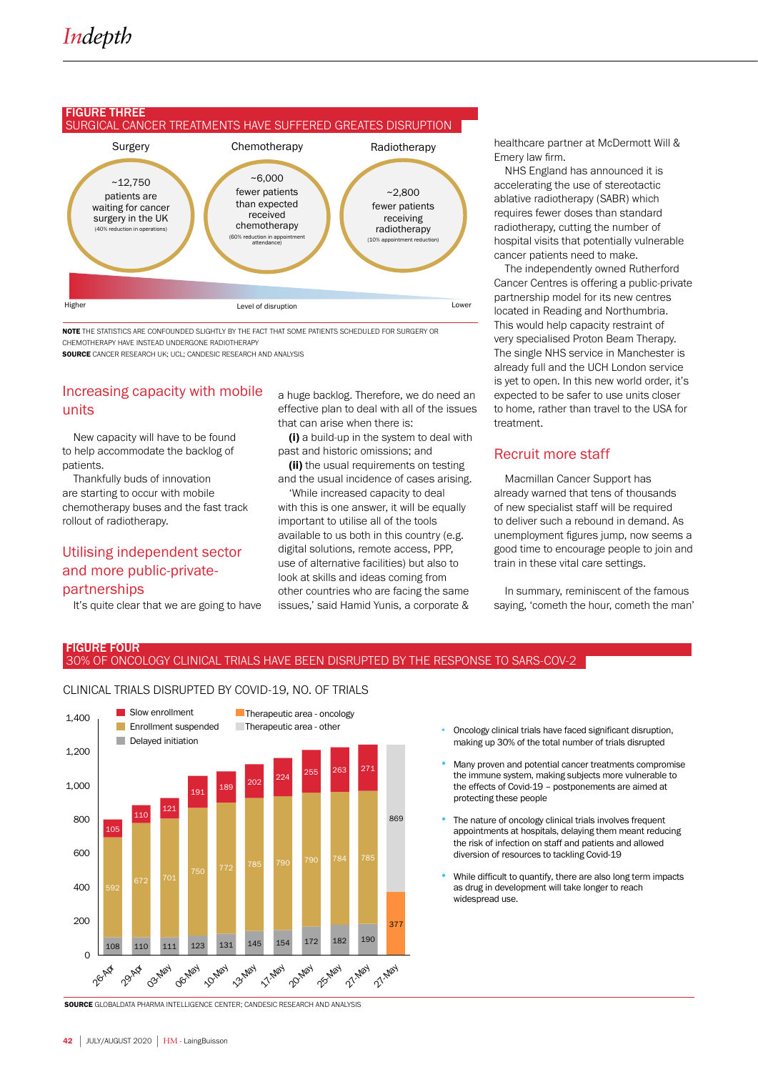## FIGURE THREE<br>SURGICAL CANCER TREATMENTS HAVE SUFFERED GREATES DISRUPTION



NOTE THE STATISTICS ARE CONFOUNDED SLIGHTLY BY THE FACT THAT SOME PATIENTS SCHEDULED FOR SURGERY OR CHEMOTHERAPY HAVE INSTEAD UNDERGONE RADIOTHERAPY

SOURCE CANCER RESEARCH UK; UCL; CANDESIC RESEARCH AND ANALYSIS

### Increasing capacity with mobile units

New capacity will have to be found to help accommodate the backlog of patients.

Thankfully buds of innovation are starting to occur with mobile chemotherapy buses and the fast track rollout of radiotherapy.

### Utilising independent sector and more public-privatepartnerships

It's quite clear that we are going to have

a huge backlog. Therefore, we do need an effective plan to deal with all of the issues that can arise when there is:

(i) a build-up in the system to deal with past and historic omissions; and

**(ii)** the usual requirements on testing and the usual incidence of cases arising.

'While increased capacity to deal with this is one answer, it will be equally important to utilise all of the tools available to us both in this country (e.g. digital solutions, remote access, PPP, use of alternative facilities) but also to look at skills and ideas coming from other countries who are facing the same issues,' said Hamid Yunis, a corporate &

healthcare partner at McDermott Will & Emery law firm.

NHS England has announced it is accelerating the use of stereotactic ablative radiotherapy (SABR) which requires fewer doses than standard radiotherapy, cutting the number of hospital visits that potentially vulnerable cancer patients need to make.

The independently owned Rutherford Cancer Centres is offering a public-private partnership model for its new centres located in Reading and Northumbria. This would help capacity restraint of very specialised Proton Beam Therapy. The single NHS service in Manchester is already full and the UCH London service is yet to open. In this new world order, it's expected to be safer to use units closer to home, rather than travel to the USA for treatment.

### Recruit more staff

Macmillan Cancer Support has already warned that tens of thousands of new specialist staff will be required to deliver such a rebound in demand. As unemployment figures jump, now seems a good time to encourage people to join and train in these vital care settings.

In summary, reminiscent of the famous saying, 'cometh the hour, cometh the man'

# FIGURE FOUR<br>30% OF ONCOLOGY CLINICAL TRIALS HAVE BEEN DISRUPTED BY THE RESPONSE TO SARS-COV-2

CLINICAL TRIALS DISRUPTED BY COVID-19, NO. OF TRIALS



- Oncology clinical trials have faced significant disruption, making up 30% of the total number of trials disrupted
- Many proven and potential cancer treatments compromise the immune system, making subjects more vulnerable to the effects of Covid-19 – postponements are aimed at protecting these people
- The nature of oncology clinical trials involves frequent appointments at hospitals, delaying them meant reducing the risk of infection on staff and patients and allowed diversion of resources to tackling Covid-19
- While difficult to quantify, there are also long term impacts as drug in development will take longer to reach widespread use.

SOURCE GLOBALDATA PHARMA INTELLIGENCE CENTER; CANDESIC RESEARCH AND ANALYSIS